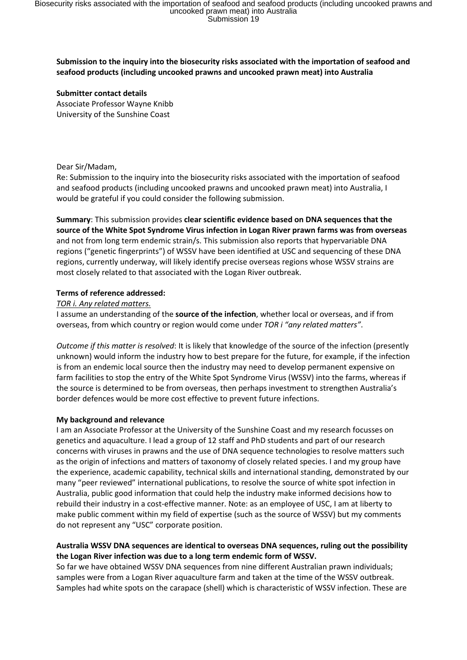# **Submission to the inquiry into the biosecurity risks associated with the importation of seafood and seafood products (including uncooked prawns and uncooked prawn meat) into Australia**

**Submitter contact details** Associate Professor Wayne Knibb University of the Sunshine Coast

## Dear Sir/Madam,

Re: Submission to the inquiry into the biosecurity risks associated with the importation of seafood and seafood products (including uncooked prawns and uncooked prawn meat) into Australia, I would be grateful if you could consider the following submission.

**Summary**: This submission provides **clear scientific evidence based on DNA sequences that the source of the White Spot Syndrome Virus infection in Logan River prawn farms was from overseas** and not from long term endemic strain/s. This submission also reports that hypervariable DNA regions ("genetic fingerprints") of WSSV have been identified at USC and sequencing of these DNA regions, currently underway, will likely identify precise overseas regions whose WSSV strains are most closely related to that associated with the Logan River outbreak.

## **Terms of reference addressed:**

## *TOR i. Any related matters.*

I assume an understanding of the **source of the infection**, whether local or overseas, and if from overseas, from which country or region would come under *TOR i "any related matters"*.

*Outcome if this matter is resolved*: It is likely that knowledge of the source of the infection (presently unknown) would inform the industry how to best prepare for the future, for example, if the infection is from an endemic local source then the industry may need to develop permanent expensive on farm facilities to stop the entry of the White Spot Syndrome Virus (WSSV) into the farms, whereas if the source is determined to be from overseas, then perhaps investment to strengthen Australia's border defences would be more cost effective to prevent future infections.

#### **My background and relevance**

I am an Associate Professor at the University of the Sunshine Coast and my research focusses on genetics and aquaculture. I lead a group of 12 staff and PhD students and part of our research concerns with viruses in prawns and the use of DNA sequence technologies to resolve matters such as the origin of infections and matters of taxonomy of closely related species. I and my group have the experience, academic capability, technical skills and international standing, demonstrated by our many "peer reviewed" international publications, to resolve the source of white spot infection in Australia, public good information that could help the industry make informed decisions how to rebuild their industry in a cost-effective manner. Note: as an employee of USC, I am at liberty to make public comment within my field of expertise (such as the source of WSSV) but my comments do not represent any "USC" corporate position.

## **Australia WSSV DNA sequences are identical to overseas DNA sequences, ruling out the possibility the Logan River infection was due to a long term endemic form of WSSV.**

So far we have obtained WSSV DNA sequences from nine different Australian prawn individuals; samples were from a Logan River aquaculture farm and taken at the time of the WSSV outbreak. Samples had white spots on the carapace (shell) which is characteristic of WSSV infection. These are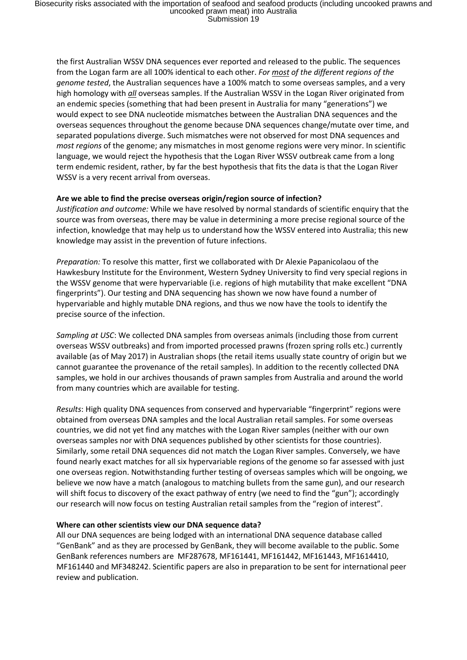the first Australian WSSV DNA sequences ever reported and released to the public. The sequences from the Logan farm are all 100% identical to each other. *For most of the different regions of the genome tested*, the Australian sequences have a 100% match to some overseas samples, and a very high homology with *all* overseas samples. If the Australian WSSV in the Logan River originated from an endemic species (something that had been present in Australia for many "generations") we would expect to see DNA nucleotide mismatches between the Australian DNA sequences and the overseas sequences throughout the genome because DNA sequences change/mutate over time, and separated populations diverge. Such mismatches were not observed for most DNA sequences and *most regions* of the genome; any mismatches in most genome regions were very minor. In scientific language, we would reject the hypothesis that the Logan River WSSV outbreak came from a long term endemic resident, rather, by far the best hypothesis that fits the data is that the Logan River WSSV is a very recent arrival from overseas.

#### **Are we able to find the precise overseas origin/region source of infection?**

*Justification and outcome:* While we have resolved by normal standards of scientific enquiry that the source was from overseas, there may be value in determining a more precise regional source of the infection, knowledge that may help us to understand how the WSSV entered into Australia; this new knowledge may assist in the prevention of future infections.

*Preparation:* To resolve this matter, first we collaborated with Dr Alexie Papanicolaou of the Hawkesbury Institute for the Environment, Western Sydney University to find very special regions in the WSSV genome that were hypervariable (i.e. regions of high mutability that make excellent "DNA fingerprints"). Our testing and DNA sequencing has shown we now have found a number of hypervariable and highly mutable DNA regions, and thus we now have the tools to identify the precise source of the infection.

*Sampling at USC*: We collected DNA samples from overseas animals (including those from current overseas WSSV outbreaks) and from imported processed prawns (frozen spring rolls etc.) currently available (as of May 2017) in Australian shops (the retail items usually state country of origin but we cannot guarantee the provenance of the retail samples). In addition to the recently collected DNA samples, we hold in our archives thousands of prawn samples from Australia and around the world from many countries which are available for testing.

*Results*: High quality DNA sequences from conserved and hypervariable "fingerprint" regions were obtained from overseas DNA samples and the local Australian retail samples. For some overseas countries, we did not yet find any matches with the Logan River samples (neither with our own overseas samples nor with DNA sequences published by other scientists for those countries). Similarly, some retail DNA sequences did not match the Logan River samples. Conversely, we have found nearly exact matches for all six hypervariable regions of the genome so far assessed with just one overseas region. Notwithstanding further testing of overseas samples which will be ongoing, we believe we now have a match (analogous to matching bullets from the same gun), and our research will shift focus to discovery of the exact pathway of entry (we need to find the "gun"); accordingly our research will now focus on testing Australian retail samples from the "region of interest".

#### **Where can other scientists view our DNA sequence data?**

All our DNA sequences are being lodged with an international DNA sequence database called "GenBank" and as they are processed by GenBank, they will become available to the public. Some GenBank references numbers are MF287678, MF161441, MF161442, MF161443, MF1614410, MF161440 and MF348242. Scientific papers are also in preparation to be sent for international peer review and publication.